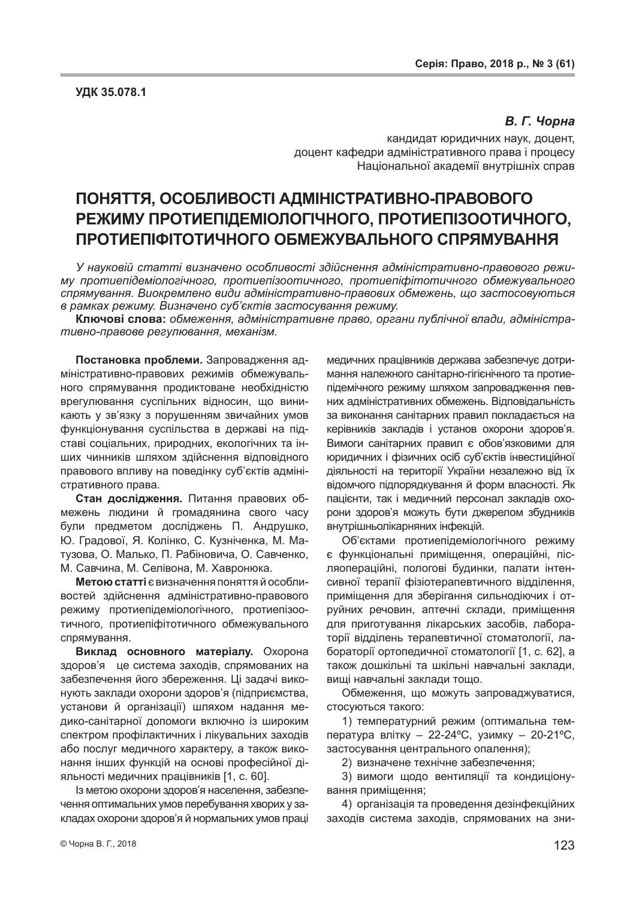## В. Г. Чорна

кандидат юридичних наук, доцент, доцент кафедри адміністративного права і процесу Національної академії внутрішніх справ

# ПОНЯТТЯ, ОСОБЛИВОСТІ АДМІНІСТРАТИВНО-ПРАВОВОГО РЕЖИМУ ПРОТИЕПІДЕМІОЛОГІЧНОГО, ПРОТИЕПІЗООТИЧНОГО, **ɉɊɈɌɂȿɉȱɎȱɌɈɌɂɑɇɈȽɈɈȻɆȿɀɍȼȺɅɖɇɈȽɈɋɉɊəɆɍȼȺɇɇə**

У науковій статті визначено особливості здійснення адміністративно-правового режиму протиепідеміологічного, протиепізоотичного, протиепіфітотичного обмежувального спрямування. Виокремлено види адміністративно-правових обмежень, що застосовуються  $\epsilon$  рамках режиму. Визначено суб'єктів застосування режиму.

**Ключові слова:** обмеження, адміністративне право, органи публічної влади, адміністративно-правове регулювання, механізм.

Постановка проблеми. Запровадження адміністративно-правових режимів обмежувального спрямування продиктоване необхідністю врегулювання суспільних відносин, що виникають у зв'язку з порушенням звичайних умов функціонування суспільства в державі на підставі соціальних, природних, екологічних та інших чинників шляхом здійснення відповідного правового впливу на поведінку суб'єктів адміністративного права.

Стан дослідження. Питання правових обмежень людини й громадянина свого часу були предметом досліджень П. Андрушко, Ю. Градової, Я. Колінко, С. Кузніченка, М. Матузова, О. Малько, П. Рабіновича, О. Савченко, М. Савчина, М. Селівона, М. Хавронюка.

**Метою статті**є визначення поняття й особливостей здійснення адміністративно-правового режиму протиепідеміологічного, протиепізоотичного, протиепіфітотичного обмежувального спрямування.

Виклад основного матеріалу. Охорона здоров'я це система заходів, спрямованих на забезпечення його збереження. Ці задачі виконують заклади охорони здоров'я (підприємства, установи й організації) шляхом надання медико-санітарної допомоги включно із широким спектром профілактичних і лікувальних заходів або послуг медичного характеру, а також виконання інших функцій на основі професійної діяльності медичних працівників [1, с. 60].

lз метою охорони здоров'я населення, забезпечення оптимальних умов перебування хворих у закладах охорони здоров'я й нормальних умов праці медичних працівників держава забезпечує дотримання належного санітарно-гігієнічного та протиепідемічного режиму шляхом запровадження певних адміністративних обмежень. Відповідальність за виконання санітарних правил покладається на керівників закладів і установ охорони здоров'я. Вимоги санітарних правил є обов'язковими для юридичних і фізичних осіб суб'єктів інвестиційної діяльності на території України незалежно від їх відомчого підпорядкування й форм власності. Як пацієнти, так і медичний персонал закладів охорони здоров'я можуть бути джерелом збудників внутрішньолікарняних інфекцій.

Об'єктами протиепідеміологічного режиму є функціональні приміщення, операційні, післяопераційні, пологові будинки, палати інтенсивної терапії фізіотерапевтичного відділення, приміщення для зберігання сильнодіючих і отруйних речовин, аптечні склади, приміщення для приготування лікарських засобів, лабораторії відділень терапевтичної стоматології, лабораторії ортопедичної стоматології [1, с. 62], а також дошкільні та шкільні навчальні заклади, виші навчальні заклади тошо.

Обмеження, що можуть запроваджуватися, стосуються такого:

1) температурний режим (оптимальна температура влітку – 22-24°С, узимку – 20-21°С, застосування центрального опалення);

2) визначене технічне забезпечення:

3) вимоги щодо вентиляції та кондиціонування приміщення;

4) організація та проведення дезінфекційних заходів система заходів, спрямованих на зни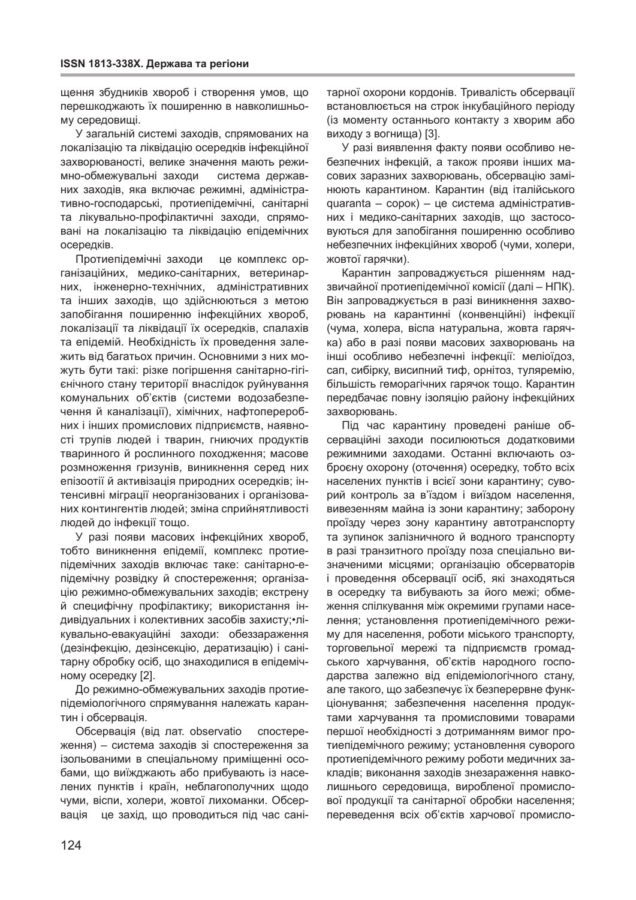щення збудників хвороб і створення умов, що перешкоджають їх поширенню в навколишньому середовищі.

У загальній системі заходів, спрямованих на локалізацію та ліквідацію осередків інфекційної захворюваності, велике значення мають режимно-обмежувальні заходи система державних заходів, яка включає режимні, адміністративно-господарські, протиепідемічні, санітарні та лікувально-профілактичні заходи, спрямовані на локалізацію та ліквідацію епідемічних осередків.

Протиепідемічні заходи це комплекс організаційних, медико-санітарних, ветеринарних, інженерно-технічних, адміністративних та інших заходів, що здійснюються з метою запобігання поширенню інфекційних хвороб. локалізації та ліквідації їх осередків, спалахів та епідемій. Необхідність їх проведення залежить від багатьох причин. Основними з них можуть бути такі: різке погіршення санітарно-гігієнічного стану території внаслідок руйнування комунальних об'єктів (системи водозабезпечення й каналізації), хімічних, нафтопереробних і інших промислових підприємств, наявності трупів людей і тварин, гниючих продуктів тваринного й рослинного походження; масове розмноження гризунів, виникнення серед них епізоотії й активізація природних осередків; інтенсивні міграції неорганізованих і організованих контингентів людей; зміна сприйнятливості людей до інфекції тощо.

У разі появи масових інфекційних хвороб, тобто виникнення епідемії, комплекс протиепідемічних заходів включає таке: санітарно-епідемічну розвідку й спостереження; організацію режимно-обмежувальних заходів; екстрену й специфічну профілактику; використання індивідуальних і колективних засобів захисту;•лікувально-евакуаційні заходи: обеззараження (дезінфекцію, дезінсекцію, дератизацію) і санітарну обробку осіб, що знаходилися в епідемічному осередку [2].

До режимно-обмежувальних заходів протиепідеміологічного спрямування належать карантин і обсервація.

Обсервація (від лат. observatio спостереження) - система заходів зі спостереження за ізольованими в спеціальному приміщенні особами, що виїжджають або прибувають із населених пунктів і країн, неблагополучних щодо чуми, віспи, холери, жовтої лихоманки. Обсервація це захід, що проводиться під час санітарної охорони кордонів. Тривалість обсервації встановлюється на строк інкубаційного періоду (із моменту останнього контакту з хворим або виходу з вогнища) [3].

У разі виявлення факту появи особливо небезпечних інфекцій, а також прояви інших масових заразних захворювань, обсервацію замінюють карантином. Карантин (від італійського quaranta - сорок) - це система адміністративних і медико-санітарних заходів, що застосовуються для запобігання поширенню особливо небезпечних інфекційних хвороб (чуми, холери, жовтої гарячки).

Карантин запроваджується рішенням надзвичайної протиепідемічної комісії (далі – НПК). Він запроваджується в разі виникнення захворювань на карантинні (конвенційні) інфекції (чума, холера, віспа натуральна, жовта гарячка) або в разі появи масових захворювань на інші особливо небезпечні інфекції: меліоїдоз, сап, сибірку, висипний тиф, орнітоз, туляремію, більшість геморагічних гарячок тощо. Карантин передбачає повну ізоляцію району інфекційних захворювань.

Під час карантину проведені раніше обсерваційні заходи посилюються додатковими режимними заходами. Останні включають озброєну охорону (оточення) осередку, тобто всіх населених пунктів і всієї зони карантину; суворий контроль за в'їздом і виїздом населення, вивезенням майна із зони карантину; заборону проїзду через зону карантину автотранспорту та зупинок залізничного й водного транспорту в разі транзитного проїзду поза спеціально визначеними місцями; організацію обсерваторів і проведення обсервації осіб, які знаходяться в осередку та вибувають за його межі; обмеження спілкування між окремими групами населення; установлення протиепідемічного режиму для населення, роботи міського транспорту, торговельної мережі та підприємств громадського харчування, об'єктів народного господарства залежно від епідеміологічного стану, але такого, що забезпечує їх безперервне функціонування; забезпечення населення продуктами харчування та промисловими товарами першої необхідності з дотриманням вимог протиепідемічного режиму; установлення суворого протиепідемічного режиму роботи медичних закладів; виконання заходів знезараження навколишнього середовища, виробленої промислової продукції та санітарної обробки населення; переведення всіх об'єктів харчової промисло-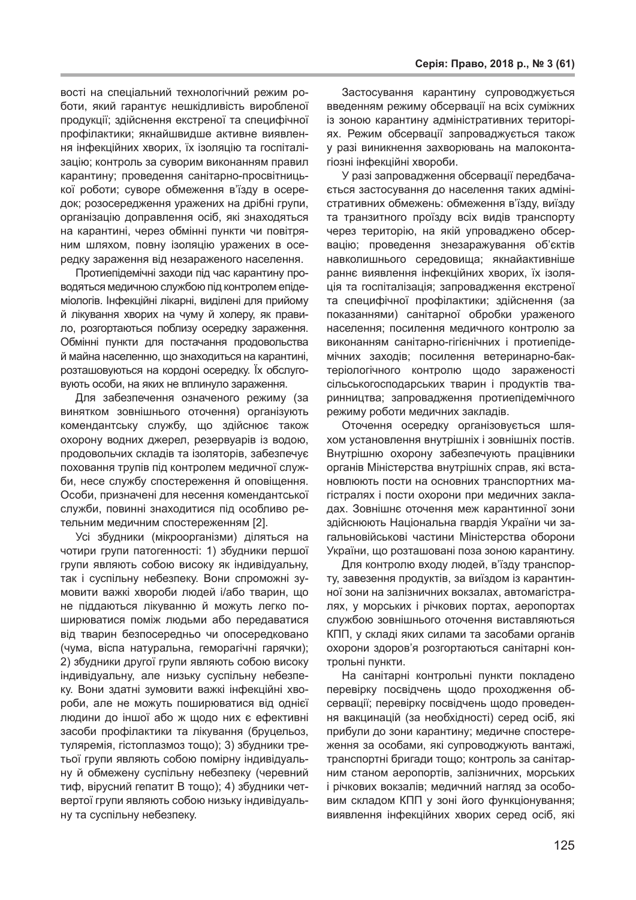вості на спеціальний технологічний режим роботи, який гарантує нешкідливість виробленої продукції; здійснення екстреної та специфічної профілактики; якнайшвидше активне виявлення інфекційних хворих, їх ізоляцію та госпіталізацію; контроль за суворим виконанням правил карантину; проведення санітарно-просвітницької роботи; суворе обмеження в'їзду в осередок; розосередження уражених на дрібні групи, організацію доправлення осіб, які знаходяться на карантині, через обмінні пункти чи повітряним шляхом, повну ізоляцію уражених в осередку зараження від незараженого населення.

Протиепідемічні заходи під час карантину проводяться медичною службою під контролем епідеміологів. Інфекційні лікарні, виділені для прийому й лікування хворих на чуму й холеру, як правило, розгортаються поблизу осередку зараження. Обмінні пункти для постачання продовольства й майна населенню, що знаходиться на карантині, розташовуються на кордоні осередку. Їх обслуговують особи, на яких не вплинуло зараження.

Для забезпечення означеного режиму (за винятком зовнішнього оточення) організують комендантську службу, що здійснює також охорону водних джерел, резервуарів із водою, продовольчих складів та ізоляторів, забезпечує поховання трупів під контролем медичної служби, несе службу спостереження й оповіщення. Особи, призначені для несення комендантської служби, повинні знаходитися під особливо ретельним медичним спостереженням [2].

Усі збудники (мікроорганізми) діляться на чотири групи патогенності: 1) збудники першої групи являють собою високу як індивідуальну, так і суспільну небезпеку. Вони спроможні зумовити важкі хвороби людей і/або тварин, що не піддаються лікуванню й можуть легко поширюватися поміж людьми або передаватися від тварин безпосередньо чи опосередковано (чума, віспа натуральна, геморагічні гарячки); 2) збудники другої групи являють собою високу індивідуальну, але низьку суспільну небезпеку. Вони здатні зумовити важкі інфекційні хвороби, але не можуть поширюватися від однієї людини до іншої або ж щодо них є ефективні засоби профілактики та лікування (бруцельоз, туляремія, гістоплазмоз тощо); 3) збудники третьої групи являють собою помірну індивідуальну й обмежену суспільну небезпеку (черевний тиф, вірусний гепатит В тощо); 4) збудники четвертої групи являють собою низьку індивідуальну та суспільну небезпеку.

Застосування карантину супроводжується введенням режиму обсервації на всіх суміжних із зоною карантину адміністративних територіях. Режим обсервації запроваджується також v paзі виникнення захворювань на малоконтагіозні інфекційні хвороби.

У разі запровадження обсервації передбачається застосування до населення таких адміністративних обмежень: обмеження в'їзду, виїзду та транзитного проїзду всіх видів транспорту через територію, на якій упроваджено обсервацію; проведення знезаражування об'єктів навколишнього середовища; якнайактивніше раннє виявлення інфекційних хворих, їх ізоляція та госпіталізація; запровадження екстреної та специфічної профілактики; здійснення (за показаннями) санітарної обробки ураженого населення; посилення медичного контролю за виконанням санітарно-гігієнічних і протиепідемічних заходів; посилення ветеринарно-бактеріологічного контролю щодо зараженості сільськогосподарських тварин і продуктів тваринництва; запровадження протиепідемічного режиму роботи медичних закладів.

Оточення осередку організовується шляхом установлення внутрішніх і зовнішніх постів. Внутрішню охорону забезпечують працівники органів Міністерства внутрішніх справ, які встановлюють пости на основних транспортних магістралях і пости охорони при медичних закладах. Зовнішнє оточення меж карантинної зони здійснюють Національна гвардія України чи загальновійськові частини Міністерства оборони України, що розташовані поза зоною карантину.

Для контролю входу людей, в'їзду транспорту, завезення продуктів, за виїздом із карантинної зони на залізничних вокзалах, автомагістралях, у морських і річкових портах, аеропортах службою зовнішнього оточення виставляються КПП, у складі яких силами та засобами органів охорони здоров'я розгортаються санітарні контрольні пункти.

На санітарні контрольні пункти покладено перевірку посвідчень шодо проходження обсервації; перевірку посвідчень щодо проведення вакцинацій (за необхідності) серед осіб, які прибули до зони карантину: медичне спостереження за особами, які супроводжують вантажі, транспортні бригади тощо; контроль за санітарним станом аеропортів, залізничних, морських і річкових вокзалів; медичний нагляд за особовим складом КПП у зоні його функціонування; виявлення інфекційних хворих серед осіб, які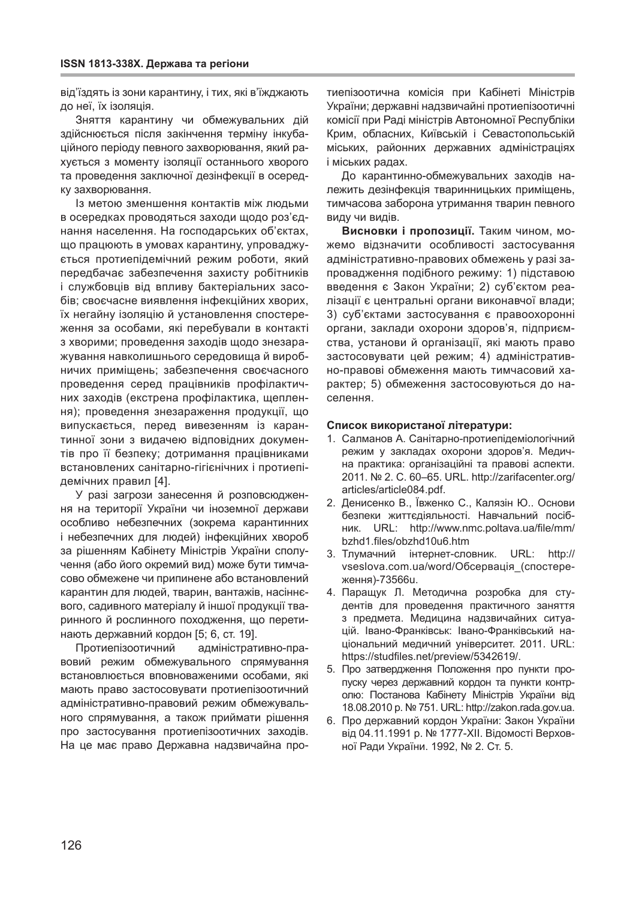від'їздять із зони карантину, і тих, які в'їжджають до неї, їх ізоляція.

Зняття карантину чи обмежувальних дій здійснюється після закінчення терміну інкубаційного періоду певного захворювання, який рахується з моменту ізоляції останнього хворого та проведення заключної дезінфекції в осередку захворювання.

Із метою зменшення контактів між людьми в осередках проводяться заходи щодо роз'єднання населення. На господарських об'єктах, що працюють в умовах карантину, упроваджується протиепідемічний режим роботи, який передбачає забезпечення захисту робітників i службовців від впливу бактеріальних засобів; своєчасне виявлення інфекційних хворих, їх негайну ізоляцію й установлення спостереження за особами, які перебували в контакті з хворими; проведення заходів щодо знезаражування навколишнього середовища й виробничих приміщень; забезпечення своєчасного проведення серед працівників профілактичних заходів (екстрена профілактика, щеплення); проведення знезараження продукції, що випускається, перед вивезенням із карантинної зони з видачею відповідних документів про її безпеку; дотримання працівниками встановлених санітарно-гігієнічних і протиепідемічних правил [4].

У разі загрози занесення й розповсюдження на території України чи іноземної держави особливо небезпечних (зокрема карантинних і небезпечних для людей) інфекційних хвороб за рішенням Кабінету Міністрів України сполучення (або його окремий вид) може бути тимчасово обмежене чи припинене або встановлений карантин для людей, тварин, вантажів, насіннєвого, садивного матеріалу й іншої продукції тваринного й рослинного походження, що перетинають державний кордон [5; 6, ст. 19].

Протиепізоотичний адміністративно-правовий режим обмежувального спрямування встановлюється вповноваженими особами, які мають право застосовувати протиепізоотичний адміністративно-правовий режим обмежувального спрямування, а також приймати рішення про застосування протиепізоотичних заходів. На це має право Державна надзвичайна протиепізоотична комісія при Кабінеті Міністрів України; державні надзвичайні протиепізоотичні комісії при Раді міністрів Автономної Республіки Крим, обласних, Київській і Севастопольській міських, районних державних адміністраціях і міських радах.

До карантинно-обмежувальних заходів належить дезінфекція тваринницьких приміщень, тимчасова заборона утримання тварин певного виду чи видів.

**Висновки і пропозиції.** Таким чином. можемо відзначити особливості застосування адміністративно-правових обмежень у разі запровадження подібного режиму: 1) підставою введення є Закон України; 2) суб'єктом реалізації є центральні органи виконавчої влади; 3) суб'єктами застосування є правоохоронні органи, заклади охорони здоров'я, підприємства, установи й організації, які мають право застосовувати цей режим; 4) адміністративно-правові обмеження мають тимчасовий характер; 5) обмеження застосовуються до населення.

### Список використаної літератури:

- 1. Салманов А. Санітарно-протиепідеміологічний режим у закладах охорони здоров'я. Медична практика: організаційні та правові аспекти. 2011. Nº 2. C. 60-65. URL. http://zarifacenter.org/ articles/article084.pdf.
- 2. Денисенко В., Ївженко С., Калязін Ю.. Основи безпеки життєдіяльності. Навчальний посібник. URL: http://www.nmc.poltava.ua/file/mm/ bzhd1.files/obzhd10u6.htm
- 3. Тлумачний інтернет-словник. URL: http:// vseslova.com.ua/word/Обсервація (спостереження)-73566u.
- 4. Паращук Л. Методична розробка для студентів для проведення практичного заняття з предмета. Медицина надзвичайних ситуацій. Івано-Франківськ: Івано-Франківський національний медичний університет. 2011. URL: https://studfiles.net/preview/5342619/.
- 5. Про затвердження Положення про пункти пропуску через державний кордон та пункти контролю: Постанова Кабінету Міністрів України від 18.08.2010 p. No 751. URL: http://zakon.rada.gov.ua.
- 6. Про державний кордон України: Закон України від 04.11.1991 р. № 1777-XII. Відомості Верховної Ради України. 1992, № 2. Ст. 5.